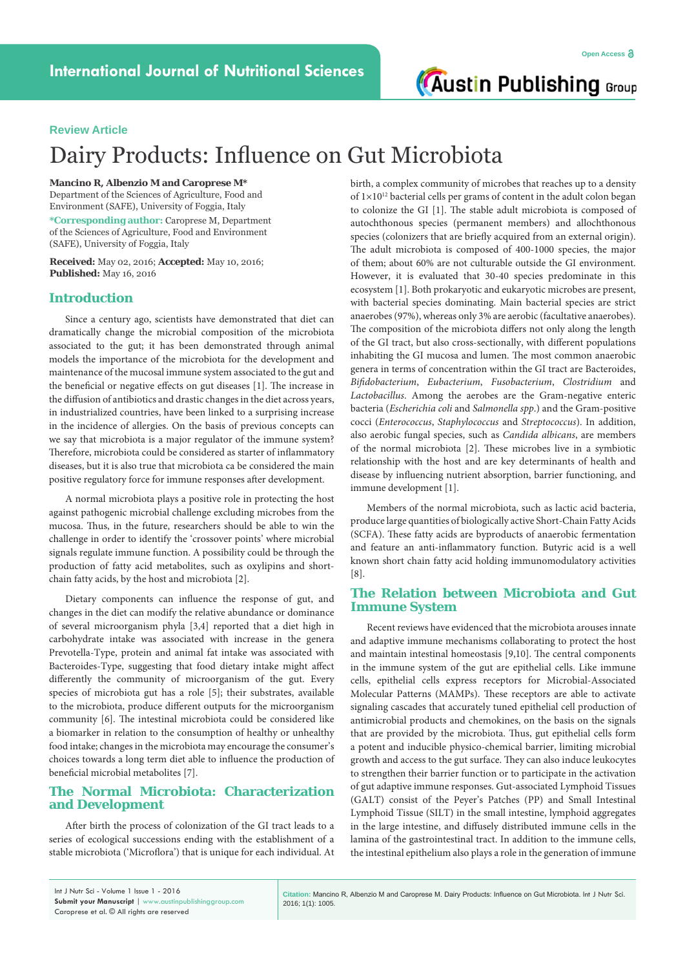**Austin Publishing Group** 

## **Review Article**

# Dairy Products: Influence on Gut Microbiota

#### **Mancino R, Albenzio M and Caroprese M\***

Department of the Sciences of Agriculture, Food and Environment (SAFE), University of Foggia, Italy

**\*Corresponding author:** Caroprese M, Department of the Sciences of Agriculture, Food and Environment (SAFE), University of Foggia, Italy

**Received:** May 02, 2016; **Accepted:** May 10, 2016; **Published:** May 16, 2016

## **Introduction**

Since a century ago, scientists have demonstrated that diet can dramatically change the microbial composition of the microbiota associated to the gut; it has been demonstrated through animal models the importance of the microbiota for the development and maintenance of the mucosal immune system associated to the gut and the beneficial or negative effects on gut diseases [1]. The increase in the diffusion of antibiotics and drastic changes in the diet across years, in industrialized countries, have been linked to a surprising increase in the incidence of allergies. On the basis of previous concepts can we say that microbiota is a major regulator of the immune system? Therefore, microbiota could be considered as starter of inflammatory diseases, but it is also true that microbiota ca be considered the main positive regulatory force for immune responses after development.

A normal microbiota plays a positive role in protecting the host against pathogenic microbial challenge excluding microbes from the mucosa. Thus, in the future, researchers should be able to win the challenge in order to identify the 'crossover points' where microbial signals regulate immune function. A possibility could be through the production of fatty acid metabolites, such as oxylipins and shortchain fatty acids, by the host and microbiota [2].

Dietary components can influence the response of gut, and changes in the diet can modify the relative abundance or dominance of several microorganism phyla [3,4] reported that a diet high in carbohydrate intake was associated with increase in the genera Prevotella-Type, protein and animal fat intake was associated with Bacteroides-Type, suggesting that food dietary intake might affect differently the community of microorganism of the gut. Every species of microbiota gut has a role [5]; their substrates, available to the microbiota, produce different outputs for the microorganism community [6]. The intestinal microbiota could be considered like a biomarker in relation to the consumption of healthy or unhealthy food intake; changes in the microbiota may encourage the consumer's choices towards a long term diet able to influence the production of beneficial microbial metabolites [7].

### **The Normal Microbiota: Characterization and Development**

After birth the process of colonization of the GI tract leads to a series of ecological successions ending with the establishment of a stable microbiota ('Microflora') that is unique for each individual. At

birth, a complex community of microbes that reaches up to a density of  $1\times10^{12}$  bacterial cells per grams of content in the adult colon began to colonize the GI [1]. The stable adult microbiota is composed of autochthonous species (permanent members) and allochthonous species (colonizers that are briefly acquired from an external origin). The adult microbiota is composed of 400-1000 species, the major of them; about 60% are not culturable outside the GI environment. However, it is evaluated that 30-40 species predominate in this ecosystem [1]. Both prokaryotic and eukaryotic microbes are present, with bacterial species dominating. Main bacterial species are strict anaerobes (97%), whereas only 3% are aerobic (facultative anaerobes). The composition of the microbiota differs not only along the length of the GI tract, but also cross-sectionally, with different populations inhabiting the GI mucosa and lumen. The most common anaerobic genera in terms of concentration within the GI tract are Bacteroides, *Bifidobacterium*, *Eubacterium*, *Fusobacterium*, *Clostridium* and *Lactobacillus*. Among the aerobes are the Gram-negative enteric bacteria (*Escherichia coli* and *Salmonella spp*.) and the Gram-positive cocci (*Enterococcus*, *Staphylococcus* and *Streptococcus*). In addition, also aerobic fungal species, such as *Candida albicans*, are members of the normal microbiota [2]. These microbes live in a symbiotic relationship with the host and are key determinants of health and disease by influencing nutrient absorption, barrier functioning, and immune development [1].

Members of the normal microbiota, such as lactic acid bacteria, produce large quantities of biologically active Short-Chain Fatty Acids (SCFA). These fatty acids are byproducts of anaerobic fermentation and feature an anti-inflammatory function. Butyric acid is a well known short chain fatty acid holding immunomodulatory activities [8].

### **The Relation between Microbiota and Gut Immune System**

Recent reviews have evidenced that the microbiota arouses innate and adaptive immune mechanisms collaborating to protect the host and maintain intestinal homeostasis [9,10]. The central components in the immune system of the gut are epithelial cells. Like immune cells, epithelial cells express receptors for Microbial-Associated Molecular Patterns (MAMPs). These receptors are able to activate signaling cascades that accurately tuned epithelial cell production of antimicrobial products and chemokines, on the basis on the signals that are provided by the microbiota. Thus, gut epithelial cells form a potent and inducible physico-chemical barrier, limiting microbial growth and access to the gut surface. They can also induce leukocytes to strengthen their barrier function or to participate in the activation of gut adaptive immune responses. Gut-associated Lymphoid Tissues (GALT) consist of the Peyer's Patches (PP) and Small Intestinal Lymphoid Tissue (SILT) in the small intestine, lymphoid aggregates in the large intestine, and diffusely distributed immune cells in the lamina of the gastrointestinal tract. In addition to the immune cells, the intestinal epithelium also plays a role in the generation of immune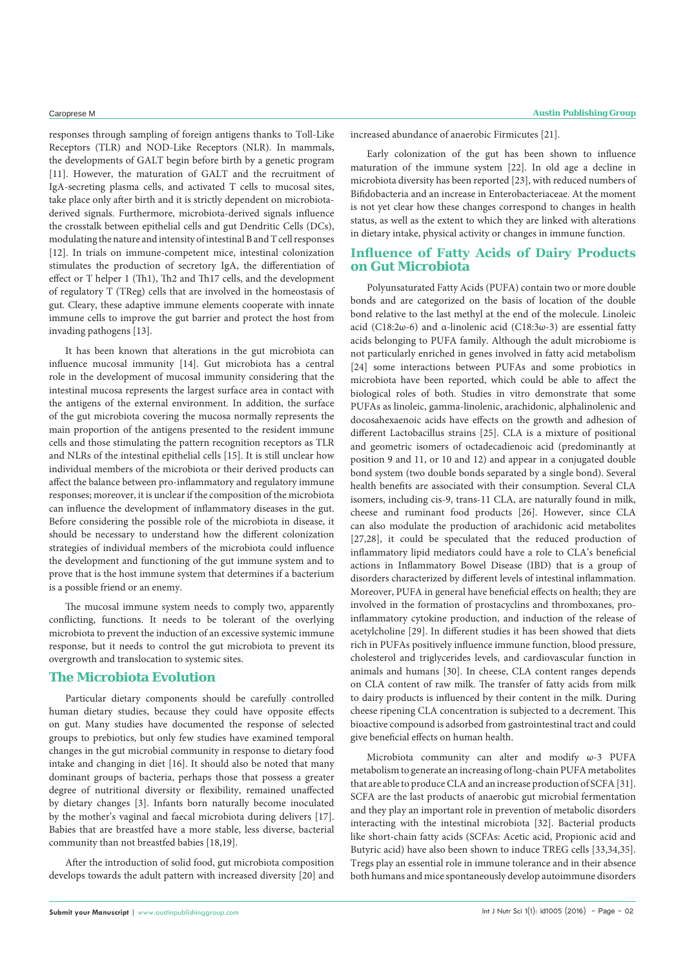responses through sampling of foreign antigens thanks to Toll-Like Receptors (TLR) and NOD-Like Receptors (NLR). In mammals, the developments of GALT begin before birth by a genetic program [11]. However, the maturation of GALT and the recruitment of IgA-secreting plasma cells, and activated T cells to mucosal sites, take place only after birth and it is strictly dependent on microbiotaderived signals. Furthermore, microbiota-derived signals influence the crosstalk between epithelial cells and gut Dendritic Cells (DCs), modulating the nature and intensity of intestinal B and T cell responses [12]. In trials on immune-competent mice, intestinal colonization stimulates the production of secretory IgA, the differentiation of effect or T helper 1 (Th1), Th2 and Th17 cells, and the development of regulatory T (TReg) cells that are involved in the homeostasis of gut. Cleary, these adaptive immune elements cooperate with innate immune cells to improve the gut barrier and protect the host from invading pathogens [13].

It has been known that alterations in the gut microbiota can influence mucosal immunity [14]. Gut microbiota has a central role in the development of mucosal immunity considering that the intestinal mucosa represents the largest surface area in contact with the antigens of the external environment. In addition, the surface of the gut microbiota covering the mucosa normally represents the main proportion of the antigens presented to the resident immune cells and those stimulating the pattern recognition receptors as TLR and NLRs of the intestinal epithelial cells [15]. It is still unclear how individual members of the microbiota or their derived products can affect the balance between pro-inflammatory and regulatory immune responses; moreover, it is unclear if the composition of the microbiota can influence the development of inflammatory diseases in the gut. Before considering the possible role of the microbiota in disease, it should be necessary to understand how the different colonization strategies of individual members of the microbiota could influence the development and functioning of the gut immune system and to prove that is the host immune system that determines if a bacterium is a possible friend or an enemy.

The mucosal immune system needs to comply two, apparently conflicting, functions. It needs to be tolerant of the overlying microbiota to prevent the induction of an excessive systemic immune response, but it needs to control the gut microbiota to prevent its overgrowth and translocation to systemic sites.

#### **The Microbiota Evolution**

Particular dietary components should be carefully controlled human dietary studies, because they could have opposite effects on gut. Many studies have documented the response of selected groups to prebiotics, but only few studies have examined temporal changes in the gut microbial community in response to dietary food intake and changing in diet [16]. It should also be noted that many dominant groups of bacteria, perhaps those that possess a greater degree of nutritional diversity or flexibility, remained unaffected by dietary changes [3]. Infants born naturally become inoculated by the mother's vaginal and faecal microbiota during delivers [17]. Babies that are breastfed have a more stable, less diverse, bacterial community than not breastfed babies [18,19].

After the introduction of solid food, gut microbiota composition develops towards the adult pattern with increased diversity [20] and increased abundance of anaerobic Firmicutes [21].

Early colonization of the gut has been shown to influence maturation of the immune system [22]. In old age a decline in microbiota diversity has been reported [23], with reduced numbers of Bifidobacteria and an increase in Enterobacteriaceae. At the moment is not yet clear how these changes correspond to changes in health status, as well as the extent to which they are linked with alterations in dietary intake, physical activity or changes in immune function.

## **Influence of Fatty Acids of Dairy Products on Gut Microbiota**

Polyunsaturated Fatty Acids (PUFA) contain two or more double bonds and are categorized on the basis of location of the double bond relative to the last methyl at the end of the molecule. Linoleic acid (C18:2ω-6) and α-linolenic acid (C18:3ω-3) are essential fatty acids belonging to PUFA family. Although the adult microbiome is not particularly enriched in genes involved in fatty acid metabolism [24] some interactions between PUFAs and some probiotics in microbiota have been reported, which could be able to affect the biological roles of both. Studies in vitro demonstrate that some PUFAs as linoleic, gamma-linolenic, arachidonic, alphalinolenic and docosahexaenoic acids have effects on the growth and adhesion of different Lactobacillus strains [25]. CLA is a mixture of positional and geometric isomers of octadecadienoic acid (predominantly at position 9 and 11, or 10 and 12) and appear in a conjugated double bond system (two double bonds separated by a single bond). Several health benefits are associated with their consumption. Several CLA isomers, including cis-9, trans-11 CLA, are naturally found in milk, cheese and ruminant food products [26]. However, since CLA can also modulate the production of arachidonic acid metabolites [27,28], it could be speculated that the reduced production of inflammatory lipid mediators could have a role to CLA's beneficial actions in Inflammatory Bowel Disease (IBD) that is a group of disorders characterized by different levels of intestinal inflammation. Moreover, PUFA in general have beneficial effects on health; they are involved in the formation of prostacyclins and thromboxanes, proinflammatory cytokine production, and induction of the release of acetylcholine [29]. In different studies it has been showed that diets rich in PUFAs positively influence immune function, blood pressure, cholesterol and triglycerides levels, and cardiovascular function in animals and humans [30]. In cheese, CLA content ranges depends on CLA content of raw milk. The transfer of fatty acids from milk to dairy products is influenced by their content in the milk. During cheese ripening CLA concentration is subjected to a decrement. This bioactive compound is adsorbed from gastrointestinal tract and could give beneficial effects on human health.

Microbiota community can alter and modify ω-3 PUFA metabolism to generate an increasing of long-chain PUFA metabolites that are able to produce CLA and an increase production of SCFA [31]. SCFA are the last products of anaerobic gut microbial fermentation and they play an important role in prevention of metabolic disorders interacting with the intestinal microbiota [32]. Bacterial products like short-chain fatty acids (SCFAs: Acetic acid, Propionic acid and Butyric acid) have also been shown to induce TREG cells [33,34,35]. Tregs play an essential role in immune tolerance and in their absence both humans and mice spontaneously develop autoimmune disorders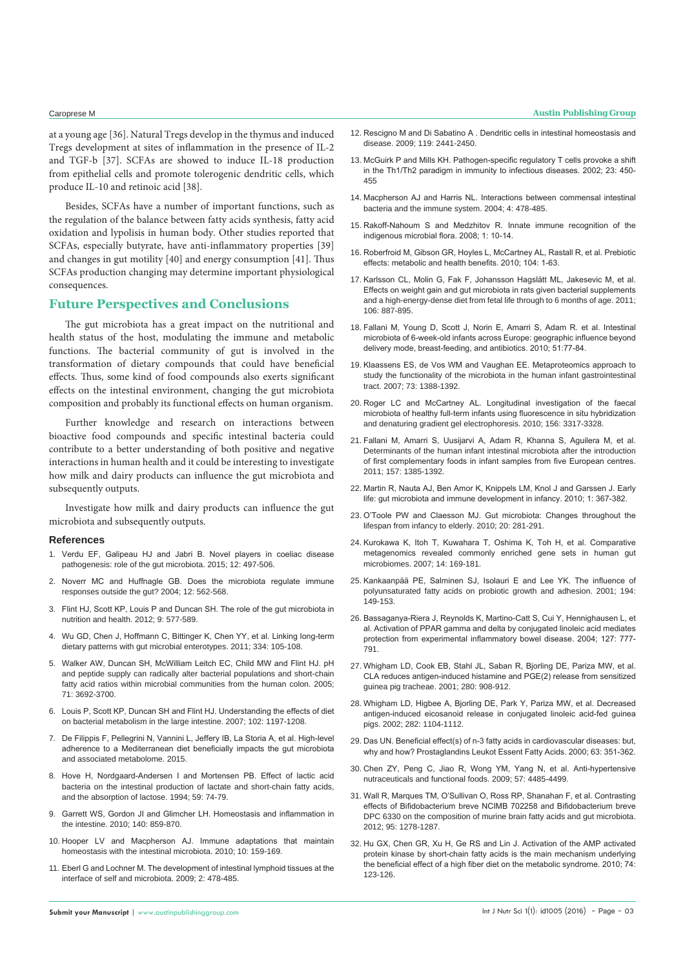at a young age [36]. Natural Tregs develop in the thymus and induced Tregs development at sites of inflammation in the presence of IL-2 and TGF-b [37]. SCFAs are showed to induce IL-18 production from epithelial cells and promote tolerogenic dendritic cells, which produce IL-10 and retinoic acid [38].

Besides, SCFAs have a number of important functions, such as the regulation of the balance between fatty acids synthesis, fatty acid oxidation and lypolisis in human body. Other studies reported that SCFAs, especially butyrate, have anti-inflammatory properties [39] and changes in gut motility [40] and energy consumption [41]. Thus SCFAs production changing may determine important physiological consequences.

#### **Future Perspectives and Conclusions**

The gut microbiota has a great impact on the nutritional and health status of the host, modulating the immune and metabolic functions. The bacterial community of gut is involved in the transformation of dietary compounds that could have beneficial effects. Thus, some kind of food compounds also exerts significant effects on the intestinal environment, changing the gut microbiota composition and probably its functional effects on human organism.

Further knowledge and research on interactions between bioactive food compounds and specific intestinal bacteria could contribute to a better understanding of both positive and negative interactions in human health and it could be interesting to investigate how milk and dairy products can influence the gut microbiota and subsequently outputs.

Investigate how milk and dairy products can influence the gut microbiota and subsequently outputs.

#### **References**

- 1. [Verdu EF, Galipeau HJ and Jabri B. Novel players in coeliac disease](http://www.ncbi.nlm.nih.gov/pubmed/26055247)  [pathogenesis: role of the gut microbiota. 2015; 12: 497-506.](http://www.ncbi.nlm.nih.gov/pubmed/26055247)
- 2. [Noverr MC and Huffnagle GB. Does the microbiota regulate immune](http://www.ncbi.nlm.nih.gov/pubmed/15539116)  [responses outside the gut? 2004; 12: 562-568.](http://www.ncbi.nlm.nih.gov/pubmed/15539116)
- 3. [Flint HJ, Scott KP, Louis P and Duncan SH. The role of the gut microbiota in](http://www.ncbi.nlm.nih.gov/pubmed/22945443)  [nutrition and health. 2012; 9: 577-589.](http://www.ncbi.nlm.nih.gov/pubmed/22945443)
- 4. [Wu GD, Chen J, Hoffmann C, Bittinger K, Chen YY, et al. Linking long-term](http://www.ncbi.nlm.nih.gov/pubmed/21885731)  [dietary patterns with gut microbial enterotypes. 2011; 334: 105-108.](http://www.ncbi.nlm.nih.gov/pubmed/21885731)
- 5. [Walker AW, Duncan SH, McWilliam Leitch EC, Child MW and Flint HJ. pH](http://www.ncbi.nlm.nih.gov/pubmed/?term=pH+and+peptide+supply+can+radically+alter+bacterial+populations+and+short-chain+fatty+acid+ratios+within+microbial+communities+from+the+human+colon.+Appl.+Environ.+Microbiol.+2005%3B+71%3A+3692-3700.)  [and peptide supply can radically alter bacterial populations and short-chain](http://www.ncbi.nlm.nih.gov/pubmed/?term=pH+and+peptide+supply+can+radically+alter+bacterial+populations+and+short-chain+fatty+acid+ratios+within+microbial+communities+from+the+human+colon.+Appl.+Environ.+Microbiol.+2005%3B+71%3A+3692-3700.)  [fatty acid ratios within microbial communities from the human colon. 2005;](http://www.ncbi.nlm.nih.gov/pubmed/?term=pH+and+peptide+supply+can+radically+alter+bacterial+populations+and+short-chain+fatty+acid+ratios+within+microbial+communities+from+the+human+colon.+Appl.+Environ.+Microbiol.+2005%3B+71%3A+3692-3700.)  [71: 3692-3700.](http://www.ncbi.nlm.nih.gov/pubmed/?term=pH+and+peptide+supply+can+radically+alter+bacterial+populations+and+short-chain+fatty+acid+ratios+within+microbial+communities+from+the+human+colon.+Appl.+Environ.+Microbiol.+2005%3B+71%3A+3692-3700.)
- 6. [Louis P, Scott KP, Duncan SH and Flint HJ. Understanding the effects of diet](http://www.ncbi.nlm.nih.gov/pubmed/17448155)  [on bacterial metabolism in the large intestine. 2007; 102: 1197-1208.](http://www.ncbi.nlm.nih.gov/pubmed/17448155)
- 7. [De Filippis F, Pellegrini N, Vannini L, Jeffery IB, La Storia A, et al. High-level](http://www.ncbi.nlm.nih.gov/pubmed/26416813)  [adherence to a Mediterranean diet beneficially impacts the gut microbiota](http://www.ncbi.nlm.nih.gov/pubmed/26416813)  [and associated metabolome. 2015.](http://www.ncbi.nlm.nih.gov/pubmed/26416813)
- 8. [Hove H, Nordgaard-Andersen I and Mortensen PB. Effect of lactic acid](http://www.ncbi.nlm.nih.gov/pubmed/8279407)  [bacteria on the intestinal production of lactate and short-chain fatty acids,](http://www.ncbi.nlm.nih.gov/pubmed/8279407)  [and the absorption of lactose. 1994; 59: 74-79.](http://www.ncbi.nlm.nih.gov/pubmed/8279407)
- 9. [Garrett WS, Gordon JI and Glimcher LH. Homeostasis and inflammation in](http://www.ncbi.nlm.nih.gov/pubmed/20303876)  [the intestine. 2010; 140: 859-870.](http://www.ncbi.nlm.nih.gov/pubmed/20303876)
- 10. [Hooper LV and Macpherson AJ. Immune adaptations that maintain](http://www.ncbi.nlm.nih.gov/pubmed/20182457)  [homeostasis with the intestinal microbiota. 2010; 10: 159-169.](http://www.ncbi.nlm.nih.gov/pubmed/20182457)
- 11. [Eberl G and Lochner M. The development of intestinal lymphoid tissues at the](http://www.ncbi.nlm.nih.gov/pubmed/19741595)  [interface of self and microbiota. 2009; 2: 478-485.](http://www.ncbi.nlm.nih.gov/pubmed/19741595)
- 12. [Rescigno M and Di Sabatino A . Dendritic cells in intestinal homeostasis and](http://www.ncbi.nlm.nih.gov/pubmed/19729841)  [disease. 2009; 119: 2441-2450.](http://www.ncbi.nlm.nih.gov/pubmed/19729841)
- 13. [McGuirk P and Mills KH. Pathogen-specific regulatory T cells provoke a shift](http://www.ncbi.nlm.nih.gov/pubmed/?term=Pathogen-specific+regulatory+T+cells+provoke+a+shift+in+the+Th1%2FTh2+paradigm+in+immunity+to+infectious+diseases.+2002%3B+23%3A+450-455)  [in the Th1/Th2 paradigm in immunity to infectious diseases. 2002; 23: 450-](http://www.ncbi.nlm.nih.gov/pubmed/?term=Pathogen-specific+regulatory+T+cells+provoke+a+shift+in+the+Th1%2FTh2+paradigm+in+immunity+to+infectious+diseases.+2002%3B+23%3A+450-455) [455](http://www.ncbi.nlm.nih.gov/pubmed/?term=Pathogen-specific+regulatory+T+cells+provoke+a+shift+in+the+Th1%2FTh2+paradigm+in+immunity+to+infectious+diseases.+2002%3B+23%3A+450-455)
- 14. [Macpherson AJ and Harris NL. Interactions between commensal intestinal](http://www.ncbi.nlm.nih.gov/pubmed/15173836)  [bacteria and the immune system. 2004; 4: 478-485.](http://www.ncbi.nlm.nih.gov/pubmed/15173836)
- 15. [Rakoff-Nahoum S and Medzhitov R. Innate immune recognition of the](http://www.ncbi.nlm.nih.gov/pubmed/19079220)  [indigenous microbial flora. 2008; 1: 10-14.](http://www.ncbi.nlm.nih.gov/pubmed/19079220)
- 16. [Roberfroid M, Gibson GR, Hoyles L, McCartney AL, Rastall R, et al. Prebiotic](http://www.ncbi.nlm.nih.gov/pubmed/20920376)  [effects: metabolic and health benefits. 2010; 104: 1-63.](http://www.ncbi.nlm.nih.gov/pubmed/20920376)
- 17. [Karlsson CL, Molin G, Fak F, Johansson Hagslätt ML, Jakesevic M, et al.](http://www.ncbi.nlm.nih.gov/pubmed/21450114)  [Effects on weight gain and gut microbiota in rats given bacterial supplements](http://www.ncbi.nlm.nih.gov/pubmed/21450114)  [and a high-energy-dense diet from fetal life through to 6 months of age. 2011;](http://www.ncbi.nlm.nih.gov/pubmed/21450114)  [106: 887-895.](http://www.ncbi.nlm.nih.gov/pubmed/21450114)
- 18. [Fallani M, Young D, Scott J, Norin E, Amarri S, Adam R. et al. Intestinal](http://www.ncbi.nlm.nih.gov/pubmed/?term=Intestinal+microbiota+of+6-week-old+infants+across+Europe%3A+geographic+influence+beyond+delivery+mode%2C+breast-feeding%2C+and+antibiotics.+2010%3B+51%3A77-84.)  [microbiota of 6-week-old infants across Europe: geographic influence beyond](http://www.ncbi.nlm.nih.gov/pubmed/?term=Intestinal+microbiota+of+6-week-old+infants+across+Europe%3A+geographic+influence+beyond+delivery+mode%2C+breast-feeding%2C+and+antibiotics.+2010%3B+51%3A77-84.)  [delivery mode, breast-feeding, and antibiotics. 2010; 51:77-84.](http://www.ncbi.nlm.nih.gov/pubmed/?term=Intestinal+microbiota+of+6-week-old+infants+across+Europe%3A+geographic+influence+beyond+delivery+mode%2C+breast-feeding%2C+and+antibiotics.+2010%3B+51%3A77-84.)
- 19. [Klaassens ES, de Vos WM and Vaughan EE. Metaproteomics approach to](http://www.ncbi.nlm.nih.gov/pubmed/17158612)  [study the functionality of the microbiota in the human infant gastrointestinal](http://www.ncbi.nlm.nih.gov/pubmed/17158612)  [tract. 2007; 73: 1388-1392.](http://www.ncbi.nlm.nih.gov/pubmed/17158612)
- 20. [Roger LC and McCartney AL. Longitudinal investigation of the faecal](http://www.ncbi.nlm.nih.gov/pubmed/?term=Longitudinal+investigation+of+the+faecal+microbiota+of+healthy+full-term+infants+using+fluorescence+in+situ+hybridization+and+denaturing+gradient+gel+electrophoresis.+Microbiology.+2010%3B+156%3A+3317-3328.)  [microbiota of healthy full-term infants using fluorescence in situ hybridization](http://www.ncbi.nlm.nih.gov/pubmed/?term=Longitudinal+investigation+of+the+faecal+microbiota+of+healthy+full-term+infants+using+fluorescence+in+situ+hybridization+and+denaturing+gradient+gel+electrophoresis.+Microbiology.+2010%3B+156%3A+3317-3328.)  and denaturing gradient gel electrophoresis. 2010: 156: 3317-3328.
- 21. [Fallani M, Amarri S, Uusijarvi A, Adam R, Khanna S, Aguilera M, et al.](http://www.ncbi.nlm.nih.gov/pubmed/?term=Determinants+of+the+human+infant+intestinal+microbiota+after+the+introduction+of+first+complementary+foods+in+infant+samples+from+five+European+centres.+Microbiology.+2011%3B+157%3A+1385-1392.)  [Determinants of the human infant intestinal microbiota after the introduction](http://www.ncbi.nlm.nih.gov/pubmed/?term=Determinants+of+the+human+infant+intestinal+microbiota+after+the+introduction+of+first+complementary+foods+in+infant+samples+from+five+European+centres.+Microbiology.+2011%3B+157%3A+1385-1392.)  [of first complementary foods in infant samples from five European centres.](http://www.ncbi.nlm.nih.gov/pubmed/?term=Determinants+of+the+human+infant+intestinal+microbiota+after+the+introduction+of+first+complementary+foods+in+infant+samples+from+five+European+centres.+Microbiology.+2011%3B+157%3A+1385-1392.)  [2011; 157: 1385-1392.](http://www.ncbi.nlm.nih.gov/pubmed/?term=Determinants+of+the+human+infant+intestinal+microbiota+after+the+introduction+of+first+complementary+foods+in+infant+samples+from+five+European+centres.+Microbiology.+2011%3B+157%3A+1385-1392.)
- 22. [Martin R, Nauta AJ, Ben Amor K, Knippels LM, Knol J and Garssen J. Early](http://www.ncbi.nlm.nih.gov/pubmed/21831776)  [life: gut microbiota and immune development in infancy. 2010; 1: 367-382.](http://www.ncbi.nlm.nih.gov/pubmed/21831776)
- 23. [O'Toole PW and Claesson MJ. Gut microbiota: Changes throughout the](https://www.researchgate.net/publication/223317175_Gut_microbiota_Changes_throughout_the_lifespan_from_infancy_to_elderly)  [lifespan from infancy to elderly. 2010; 20: 281-291.](https://www.researchgate.net/publication/223317175_Gut_microbiota_Changes_throughout_the_lifespan_from_infancy_to_elderly)
- 24. [Kurokawa K, Itoh T, Kuwahara T, Oshima K, Toh H, et al. Comparative](http://www.ncbi.nlm.nih.gov/pubmed/17916580)  [metagenomics revealed commonly enriched gene sets in human gut](http://www.ncbi.nlm.nih.gov/pubmed/17916580)  [microbiomes. 2007; 14: 169-181.](http://www.ncbi.nlm.nih.gov/pubmed/17916580)
- 25. [Kankaanpää PE, Salminen SJ, Isolauri E and Lee YK. The influence of](http://www.ncbi.nlm.nih.gov/pubmed/11164299)  [polyunsaturated fatty acids on probiotic growth and adhesion. 2001; 194:](http://www.ncbi.nlm.nih.gov/pubmed/11164299)  [149-153.](http://www.ncbi.nlm.nih.gov/pubmed/11164299)
- 26. [Bassaganya-Riera J, Reynolds K, Martino-Catt S, Cui Y, Hennighausen L, et](http://www.ncbi.nlm.nih.gov/pubmed/15362034)  [al. Activation of PPAR gamma and delta by conjugated linoleic acid mediates](http://www.ncbi.nlm.nih.gov/pubmed/15362034)  [protection from experimental inflammatory bowel disease. 2004; 127: 777-](http://www.ncbi.nlm.nih.gov/pubmed/15362034) [791.](http://www.ncbi.nlm.nih.gov/pubmed/15362034)
- 27. [Whigham LD, Cook EB, Stahl JL, Saban R, Bjorling DE, Pariza MW, et al.](http://www.ncbi.nlm.nih.gov/pubmed/?term=CLA+reduces+antigen-induced+histamine+and+PGE(2)+release+from+sensitized+guinea+pig+tracheae.+2001%3B+280%3A+908-912.)  [CLA reduces antigen-induced histamine and PGE\(2\) release from sensitized](http://www.ncbi.nlm.nih.gov/pubmed/?term=CLA+reduces+antigen-induced+histamine+and+PGE(2)+release+from+sensitized+guinea+pig+tracheae.+2001%3B+280%3A+908-912.)  [guinea pig tracheae. 2001; 280: 908-912.](http://www.ncbi.nlm.nih.gov/pubmed/?term=CLA+reduces+antigen-induced+histamine+and+PGE(2)+release+from+sensitized+guinea+pig+tracheae.+2001%3B+280%3A+908-912.)
- 28. [Whigham LD, Higbee A, Bjorling DE, Park Y, Pariza MW, et al. Decreased](http://www.ncbi.nlm.nih.gov/pubmed/11893615)  [antigen-induced eicosanoid release in conjugated linoleic acid-fed guinea](http://www.ncbi.nlm.nih.gov/pubmed/11893615)  [pigs. 2002; 282: 1104-1112.](http://www.ncbi.nlm.nih.gov/pubmed/11893615)
- 29. [Das UN. Beneficial effect\(s\) of n-3 fatty acids in cardiovascular diseases: but,](http://www.ncbi.nlm.nih.gov/pubmed/?term=Prostaglandins+Leukot+Essent+Fatty+Acids.+2000%3B+63%3A+351-362.)  [why and how? Prostaglandins Leukot Essent Fatty Acids. 2000; 63: 351-362.](http://www.ncbi.nlm.nih.gov/pubmed/?term=Prostaglandins+Leukot+Essent+Fatty+Acids.+2000%3B+63%3A+351-362.)
- 30. [Chen ZY, Peng C, Jiao R, Wong YM, Yang N, et al. Anti-hypertensive](http://www.ncbi.nlm.nih.gov/pubmed/19422223)  [nutraceuticals and functional foods. 2009; 57: 4485-4499.](http://www.ncbi.nlm.nih.gov/pubmed/19422223)
- 31. [Wall R, Marques TM, O'Sullivan O, Ross RP, Shanahan F, et al. Contrasting](http://www.ncbi.nlm.nih.gov/pubmed/22492373)  [effects of Bifidobacterium breve NCIMB 702258 and Bifidobacterium breve](http://www.ncbi.nlm.nih.gov/pubmed/22492373)  [DPC 6330 on the composition of murine brain fatty acids and gut microbiota.](http://www.ncbi.nlm.nih.gov/pubmed/22492373)  [2012; 95: 1278-1287.](http://www.ncbi.nlm.nih.gov/pubmed/22492373)
- 32. [Hu GX, Chen GR, Xu H, Ge RS and Lin J. Activation of the AMP activated](http://www.ncbi.nlm.nih.gov/pubmed/19665312)  [protein kinase by short-chain fatty acids is the main mechanism underlying](http://www.ncbi.nlm.nih.gov/pubmed/19665312)  [the beneficial effect of a high fiber diet on the metabolic syndrome. 2010; 74:](http://www.ncbi.nlm.nih.gov/pubmed/19665312)  [123-126.](http://www.ncbi.nlm.nih.gov/pubmed/19665312)